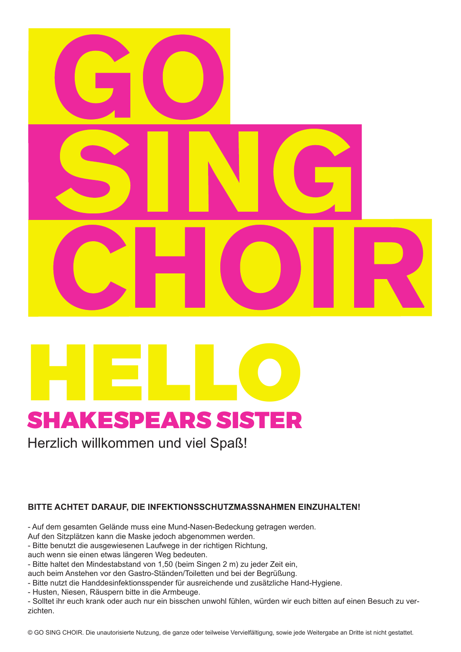



Herzlich willkommen und viel Spaß!

#### **BITTE ACHTET DARAUF, DIE INFEKTIONSSCHUTZMASSNAHMEN EINZUHALTEN!**

- Auf dem gesamten Gelände muss eine Mund-Nasen-Bedeckung getragen werden.

- Auf den Sitzplätzen kann die Maske jedoch abgenommen werden.
- Bitte benutzt die ausgewiesenen Laufwege in der richtigen Richtung,
- auch wenn sie einen etwas längeren Weg bedeuten.

- Bitte haltet den Mindestabstand von 1,50 (beim Singen 2 m) zu jeder Zeit ein,

auch beim Anstehen vor den Gastro-Ständen/Toiletten und bei der Begrüßung.

- Bitte nutzt die Handdesinfektionsspender für ausreichende und zusätzliche Hand-Hygiene.
- Husten, Niesen, Räuspern bitte in die Armbeuge.

- Solltet ihr euch krank oder auch nur ein bisschen unwohl fühlen, würden wir euch bitten auf einen Besuch zu verzichten.

© GO SING CHOIR. Die unautorisierte Nutzung, die ganze oder teilweise Vervielfältigung, sowie jede Weitergabe an Dritte ist nicht gestattet.